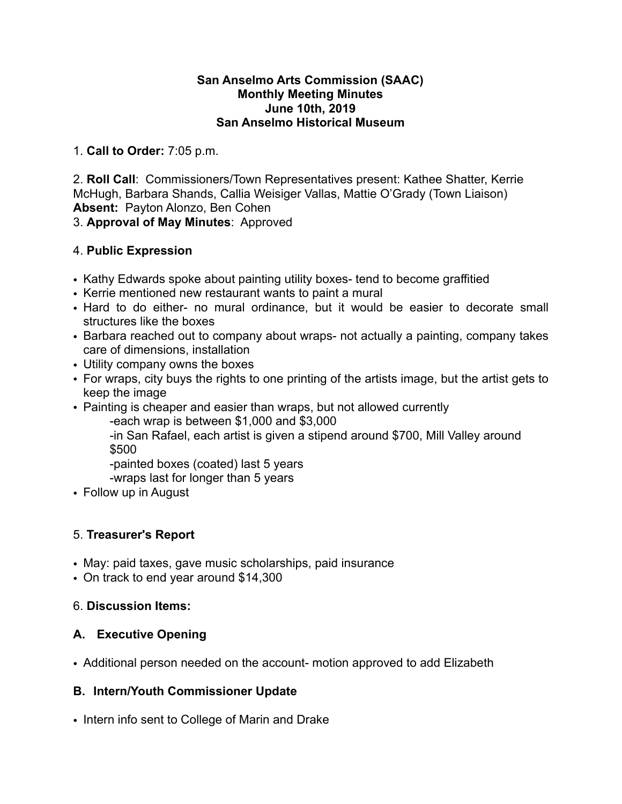#### **San Anselmo Arts Commission (SAAC) Monthly Meeting Minutes June 10th, 2019 San Anselmo Historical Museum**

1. **Call to Order:** 7:05 p.m.

2. **Roll Call**: Commissioners/Town Representatives present: Kathee Shatter, Kerrie McHugh, Barbara Shands, Callia Weisiger Vallas, Mattie O'Grady (Town Liaison) **Absent:** Payton Alonzo, Ben Cohen

3. **Approval of May Minutes**: Approved

## 4. **Public Expression**

- Kathy Edwards spoke about painting utility boxes- tend to become graffitied
- Kerrie mentioned new restaurant wants to paint a mural
- Hard to do either- no mural ordinance, but it would be easier to decorate small structures like the boxes
- Barbara reached out to company about wraps- not actually a painting, company takes care of dimensions, installation
- Utility company owns the boxes
- For wraps, city buys the rights to one printing of the artists image, but the artist gets to keep the image
- Painting is cheaper and easier than wraps, but not allowed currently

-each wrap is between \$1,000 and \$3,000

 -in San Rafael, each artist is given a stipend around \$700, Mill Valley around \$500

-painted boxes (coated) last 5 years

-wraps last for longer than 5 years

• Follow up in August

## 5. **Treasurer's Report**

- May: paid taxes, gave music scholarships, paid insurance
- On track to end year around \$14,300

## 6. **Discussion Items:**

## **A. Executive Opening**

• Additional person needed on the account- motion approved to add Elizabeth

## **B. Intern/Youth Commissioner Update**

• Intern info sent to College of Marin and Drake